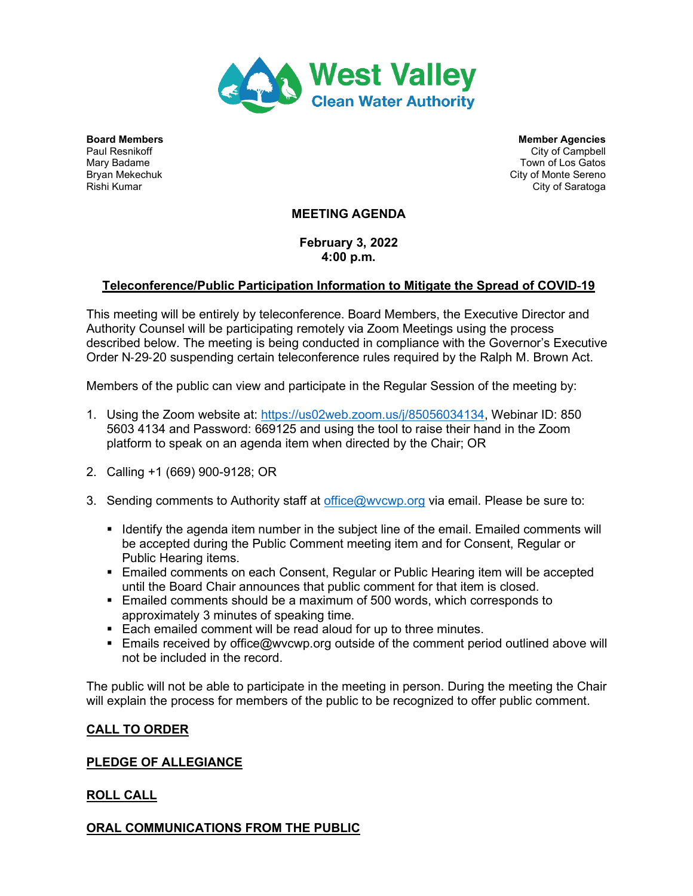

**Board Members Members Agencies** Member Agencies **Member Agencies** Paul Resnikoff City of Campbell Mary Badame Town of Los Gatos Bryan Mekechuk City of Monte Sereno (Bryan Mekechuk City of Monte Sereno (City of Monte Sereno (City of Saratoqa<br>Rishi Kumar City of Saratoga

# **MEETING AGENDA**

**February 3, 2022 4:00 p.m.**

# **Teleconference/Public Participation Information to Mitigate the Spread of COVID**‐**19**

This meeting will be entirely by teleconference. Board Members, the Executive Director and Authority Counsel will be participating remotely via Zoom Meetings using the process described below. The meeting is being conducted in compliance with the Governor's Executive Order N‐29‐20 suspending certain teleconference rules required by the Ralph M. Brown Act.

Members of the public can view and participate in the Regular Session of the meeting by:

- 1. Using the Zoom website at: [https://us02web.zoom.us/j/85056034134,](https://us02web.zoom.us/j/85056034134?pwd=RVhkN2Iya3hQY2VQaHhKelZWSTRtdz09) Webinar ID: 850 5603 4134 and Password: 669125 and using the tool to raise their hand in the Zoom platform to speak on an agenda item when directed by the Chair; OR
- 2. Calling +1 (669) 900-9128; OR
- 3. Sending comments to Authority staff at [office@wvcwp.org](mailto:office@wvcwp.org) via email. Please be sure to:
	- I Identify the agenda item number in the subject line of the email. Emailed comments will be accepted during the Public Comment meeting item and for Consent, Regular or Public Hearing items.
	- Emailed comments on each Consent, Regular or Public Hearing item will be accepted until the Board Chair announces that public comment for that item is closed.
	- Emailed comments should be a maximum of 500 words, which corresponds to approximately 3 minutes of speaking time.
	- Each emailed comment will be read aloud for up to three minutes.
	- **Emails received by office@wvcwp.org outside of the comment period outlined above will** not be included in the record.

The public will not be able to participate in the meeting in person. During the meeting the Chair will explain the process for members of the public to be recognized to offer public comment.

## **CALL TO ORDER**

## **PLEDGE OF ALLEGIANCE**

## **ROLL CALL**

## **ORAL COMMUNICATIONS FROM THE PUBLIC**